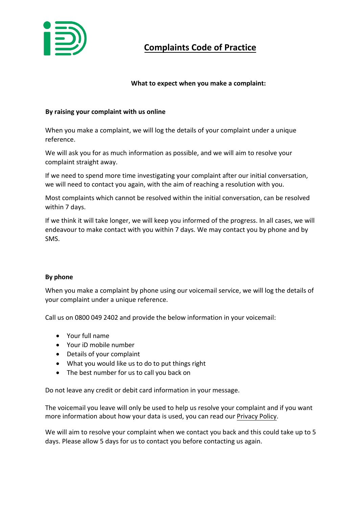

# **Complaints Code of Practice**

# **What to expect when you make a complaint:**

## **By raising your complaint with us online**

When you make a complaint, we will log the details of your complaint under a unique reference.

We will ask you for as much information as possible, and we will aim to resolve your complaint straight away.

If we need to spend more time investigating your complaint after our initial conversation, we will need to contact you again, with the aim of reaching a resolution with you.

Most complaints which cannot be resolved within the initial conversation, can be resolved within 7 days.

If we think it will take longer, we will keep you informed of the progress. In all cases, we will endeavour to make contact with you within 7 days. We may contact you by phone and by SMS.

#### **By phone**

When you make a complaint by phone using our voicemail service, we will log the details of your complaint under a unique reference.

Call us on 0800 049 2402 and provide the below information in your voicemail:

- Your full name
- Your iD mobile number
- Details of your complaint
- What you would like us to do to put things right
- The best number for us to call you back on

Do not leave any credit or debit card information in your message.

The voicemail you leave will only be used to help us resolve your complaint and if you want more information about how your data is used, you can read our [Privacy Policy.](https://www.idmobile.co.uk/legal/privacy-and-cookies) 

We will aim to resolve your complaint when we contact you back and this could take up to 5 days. Please allow 5 days for us to contact you before contacting us again.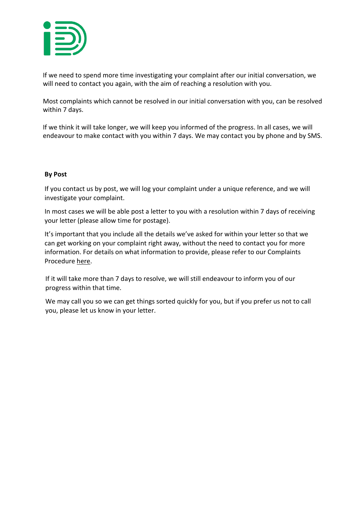

If we need to spend more time investigating your complaint after our initial conversation, we will need to contact you again, with the aim of reaching a resolution with you.

Most complaints which cannot be resolved in our initial conversation with you, can be resolved within 7 days.

If we think it will take longer, we will keep you informed of the progress. In all cases, we will endeavour to make contact with you within 7 days. We may contact you by phone and by SMS.

## **By Post**

If you contact us by post, we will log your complaint under a unique reference, and we will investigate your complaint.

In most c[ases w](https://www.idmobile.co.uk/help-and-advice/complaints-procedure)e will be able post a letter to you with a resolution within 7 days of receiving your letter (please allow time for postage).

It's important that you include all the details we've asked for within your letter so that we can get working on your complaint right away, without the need to contact you for more information. For details on what information to provide, please refer to our Complaints Procedure [here.](https://www.idmobile.co.uk/help-and-advice/complaints-procedure)

If it will take more than 7 days to resolve, we will still endeavour to inform you of our progress within that time.

We may call you so we can get things sorted quickly for you, but if you prefer us not to call you, please let us know in your letter.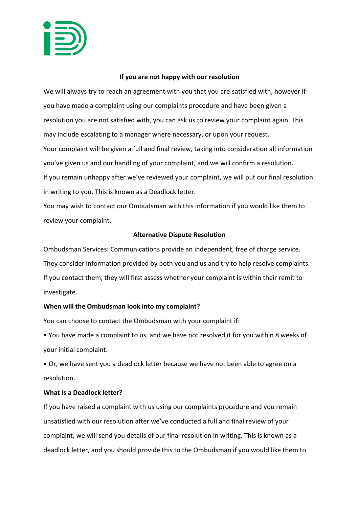

#### **If you are not happy with our resolution**

We will always try to reach an agreement with you that you are satisfied with, however if you have made a complaint using our complaints procedure and have been given a resolution you are not satisfied with, you can ask us to review your complaint again. This may include escalating to a manager where necessary, or upon your request. Your complaint will be given a full and final review, taking into consideration all information you've given us and our handling of your complaint, and we will confirm a resolution. If you remain unhappy after we've reviewed your complaint, we will put our final resolution in writing to you. This is known as a Deadlock letter.

You may wish to contact our Ombudsman with this information if you would like them to review your complaint.

## **Alternative Dispute Resolution**

Ombudsman Services: Communications provide an independent, free of charge service. They consider information provided by both you and us and try to help resolve complaints. If you contact them, they will first assess whether your complaint is within their remit to investigate.

## **When will the Ombudsman look into my complaint?**

You can choose to contact the Ombudsman with your complaint if:

• You have made a complaint to us, and we have not resolved it for you within 8 weeks of your initial complaint.

• Or, we have sent you a deadlock letter because we have not been able to agree on a resolution.

#### **What is a Deadlock letter?**

If you have raised a complaint with us using our complaints procedure and you remain unsatisfied with our resolution after we've conducted a full and final review of your complaint, we will send you details of our final resolution in writing. This is known as a deadlock letter, and you should provide this to the Ombudsman if you would like them to